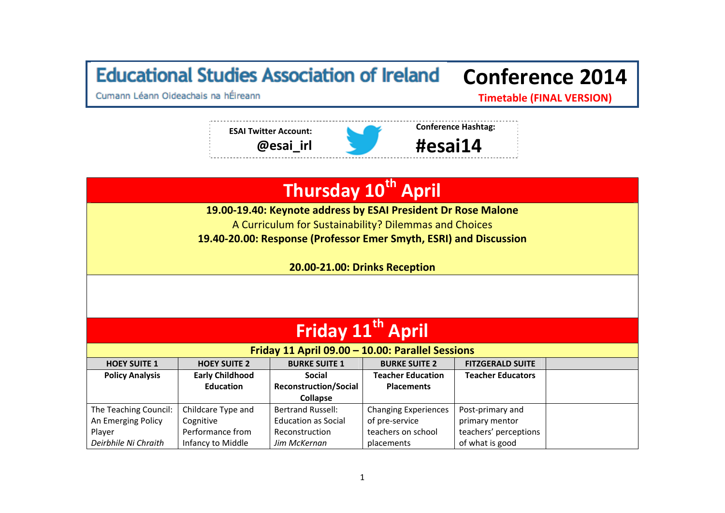## **Educational Studies Association of Ireland Conference 2014**

Cumann Léann Oideachais na hÉireann

**Timetable (FINAL VERSION)**



## **Thursday <sup>10</sup>th April**

**19.00‐19.40: Keynote address by ESAI President Dr Rose Malone**

A Curriculum for Sustainability? Dilemmas and Choices

**19.40‐20.00: Response (Professor Emer Smyth, ESRI) and Discussion**

**20.00‐21.00: Drinks Reception**

| Friday 11 <sup>th</sup> April |                        |                                                  |                             |                          |  |  |
|-------------------------------|------------------------|--------------------------------------------------|-----------------------------|--------------------------|--|--|
|                               |                        | Friday 11 April 09.00 - 10.00: Parallel Sessions |                             |                          |  |  |
| <b>HOEY SUITE 1</b>           | <b>HOEY SUITE 2</b>    | <b>BURKE SUITE 1</b>                             | <b>BURKE SUITE 2</b>        | <b>FITZGERALD SUITE</b>  |  |  |
| <b>Policy Analysis</b>        | <b>Early Childhood</b> | <b>Social</b>                                    | <b>Teacher Education</b>    | <b>Teacher Educators</b> |  |  |
|                               | <b>Education</b>       | <b>Reconstruction/Social</b>                     | <b>Placements</b>           |                          |  |  |
|                               |                        | <b>Collapse</b>                                  |                             |                          |  |  |
| The Teaching Council:         | Childcare Type and     | <b>Bertrand Russell:</b>                         | <b>Changing Experiences</b> | Post-primary and         |  |  |
| An Emerging Policy            | Cognitive              | <b>Education as Social</b>                       | of pre-service              | primary mentor           |  |  |
| Player                        | Performance from       | Reconstruction                                   | teachers on school          | teachers' perceptions    |  |  |
| Deirbhile Ni Chraith          | Infancy to Middle      | Jim McKernan                                     | placements                  | of what is good          |  |  |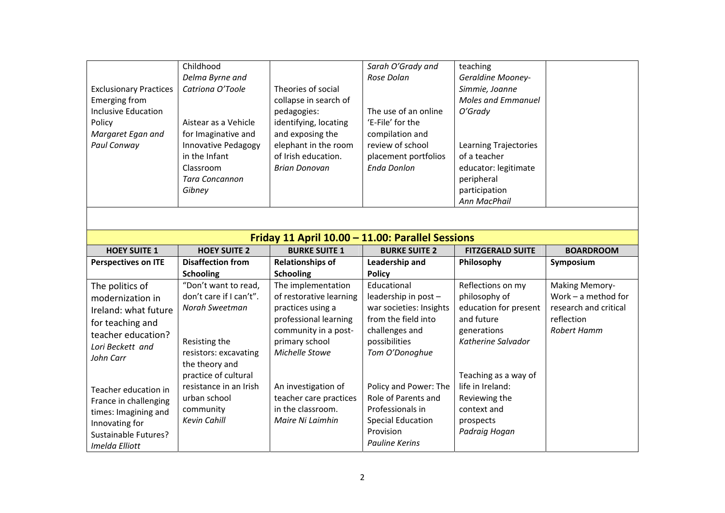|                               | Childhood            |                       | Sarah O'Grady and    | teaching                 |  |
|-------------------------------|----------------------|-----------------------|----------------------|--------------------------|--|
|                               | Delma Byrne and      |                       | Rose Dolan           | <b>Geraldine Mooney-</b> |  |
| <b>Exclusionary Practices</b> | Catriona O'Toole     | Theories of social    |                      | Simmie, Joanne           |  |
| Emerging from                 |                      | collapse in search of |                      | Moles and Emmanuel       |  |
| <b>Inclusive Education</b>    |                      | pedagogies:           | The use of an online | O'Grady                  |  |
| Policy                        | Aistear as a Vehicle | identifying, locating | 'E-File' for the     |                          |  |
| Margaret Egan and             | for Imaginative and  | and exposing the      | compilation and      |                          |  |
| Paul Conway                   | Innovative Pedagogy  | elephant in the room  | review of school     | Learning Trajectories    |  |
|                               | in the Infant        | of Irish education.   | placement portfolios | of a teacher             |  |
|                               | Classroom            | Brian Donovan         | Enda Donlon          | educator: legitimate     |  |
|                               | Tara Concannon       |                       |                      | peripheral               |  |
|                               | Gibney               |                       |                      | participation            |  |
|                               |                      |                       |                      | Ann MacPhail             |  |

| Friday 11 April 10.00 - 11.00: Parallel Sessions                                                                                  |                                                                                             |                                                                                        |                                                                                                                                    |                                                                                                        |                                                |  |
|-----------------------------------------------------------------------------------------------------------------------------------|---------------------------------------------------------------------------------------------|----------------------------------------------------------------------------------------|------------------------------------------------------------------------------------------------------------------------------------|--------------------------------------------------------------------------------------------------------|------------------------------------------------|--|
| <b>HOEY SUITE 1</b>                                                                                                               | <b>HOEY SUITE 2</b>                                                                         | <b>BURKE SUITE 1</b>                                                                   | <b>BURKE SUITE 2</b>                                                                                                               | <b>FITZGERALD SUITE</b>                                                                                | <b>BOARDROOM</b>                               |  |
| <b>Perspectives on ITE</b>                                                                                                        | <b>Disaffection from</b>                                                                    | <b>Relationships of</b>                                                                | Leadership and                                                                                                                     | Philosophy                                                                                             | Symposium                                      |  |
|                                                                                                                                   | <b>Schooling</b>                                                                            | <b>Schooling</b>                                                                       | <b>Policy</b>                                                                                                                      |                                                                                                        |                                                |  |
| The politics of<br>modernization in                                                                                               | "Don't want to read,<br>don't care if I can't".                                             | The implementation<br>of restorative learning                                          | Educational<br>leadership in post -                                                                                                | Reflections on my<br>philosophy of                                                                     | <b>Making Memory-</b><br>Work $-$ a method for |  |
| Ireland: what future                                                                                                              | Norah Sweetman                                                                              | practices using a<br>professional learning                                             | war societies: Insights<br>from the field into                                                                                     | education for present<br>and future                                                                    | research and critical<br>reflection            |  |
| for teaching and<br>teacher education?                                                                                            |                                                                                             | community in a post-                                                                   | challenges and                                                                                                                     | generations<br>Katherine Salvador                                                                      | Robert Hamm                                    |  |
| Lori Beckett and<br>John Carr                                                                                                     | Resisting the<br>resistors: excavating<br>the theory and                                    | primary school<br>Michelle Stowe                                                       | possibilities<br>Tom O'Donoghue                                                                                                    |                                                                                                        |                                                |  |
| Teacher education in<br>France in challenging<br>times: Imagining and<br>Innovating for<br>Sustainable Futures?<br>Imelda Elliott | practice of cultural<br>resistance in an Irish<br>urban school<br>community<br>Kevin Cahill | An investigation of<br>teacher care practices<br>in the classroom.<br>Maire Ni Laimhin | Policy and Power: The<br>Role of Parents and<br>Professionals in<br><b>Special Education</b><br>Provision<br><b>Pauline Kerins</b> | Teaching as a way of<br>life in Ireland:<br>Reviewing the<br>context and<br>prospects<br>Padraig Hogan |                                                |  |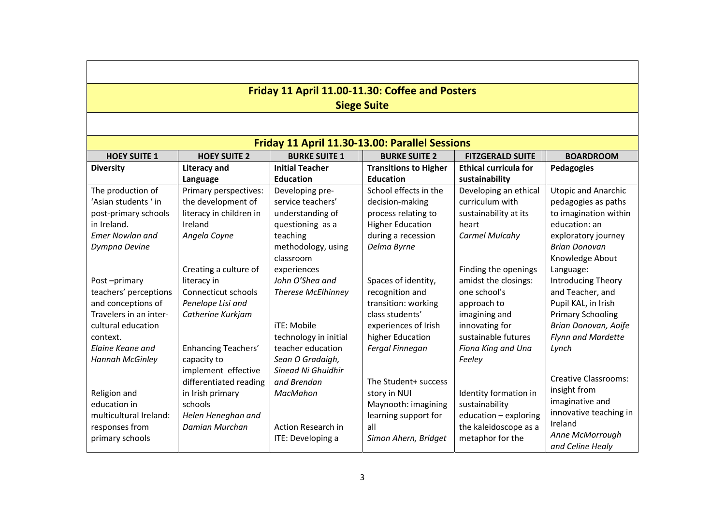| Friday 11 April 11.00-11.30: Coffee and Posters |                         |                           |                                                |                              |                             |  |  |  |
|-------------------------------------------------|-------------------------|---------------------------|------------------------------------------------|------------------------------|-----------------------------|--|--|--|
|                                                 | <b>Siege Suite</b>      |                           |                                                |                              |                             |  |  |  |
|                                                 |                         |                           |                                                |                              |                             |  |  |  |
|                                                 |                         |                           | Friday 11 April 11.30-13.00: Parallel Sessions |                              |                             |  |  |  |
| <b>HOEY SUITE 1</b>                             | <b>HOEY SUITE 2</b>     | <b>BURKE SUITE 1</b>      | <b>BURKE SUITE 2</b>                           | <b>FITZGERALD SUITE</b>      | <b>BOARDROOM</b>            |  |  |  |
| <b>Diversity</b>                                | <b>Literacy and</b>     | <b>Initial Teacher</b>    | <b>Transitions to Higher</b>                   | <b>Ethical curricula for</b> | Pedagogies                  |  |  |  |
|                                                 | Language                | <b>Education</b>          | <b>Education</b>                               | sustainability               |                             |  |  |  |
| The production of                               | Primary perspectives:   | Developing pre-           | School effects in the                          | Developing an ethical        | <b>Utopic and Anarchic</b>  |  |  |  |
| 'Asian students ' in                            | the development of      | service teachers'         | decision-making                                | curriculum with              | pedagogies as paths         |  |  |  |
| post-primary schools                            | literacy in children in | understanding of          | process relating to                            | sustainability at its        | to imagination within       |  |  |  |
| in Ireland.                                     | Ireland                 | questioning as a          | <b>Higher Education</b>                        | heart                        | education: an               |  |  |  |
| <b>Emer Nowlan and</b>                          | Angela Coyne            | teaching                  | during a recession                             | <b>Carmel Mulcahy</b>        | exploratory journey         |  |  |  |
| Dympna Devine                                   |                         | methodology, using        | Delma Byrne                                    |                              | <b>Brian Donovan</b>        |  |  |  |
|                                                 |                         | classroom                 |                                                |                              | Knowledge About             |  |  |  |
|                                                 | Creating a culture of   | experiences               |                                                | Finding the openings         | Language:                   |  |  |  |
| Post-primary                                    | literacy in             | John O'Shea and           | Spaces of identity,                            | amidst the closings:         | <b>Introducing Theory</b>   |  |  |  |
| teachers' perceptions                           | Connecticut schools     | <b>Therese McElhinney</b> | recognition and                                | one school's                 | and Teacher, and            |  |  |  |
| and conceptions of                              | Penelope Lisi and       |                           | transition: working                            | approach to                  | Pupil KAL, in Irish         |  |  |  |
| Travelers in an inter-                          | Catherine Kurkjam       |                           | class students'                                | imagining and                | <b>Primary Schooling</b>    |  |  |  |
| cultural education                              |                         | iTE: Mobile               | experiences of Irish                           | innovating for               | Brian Donovan, Aoife        |  |  |  |
| context.                                        |                         | technology in initial     | higher Education                               | sustainable futures          | <b>Flynn and Mardette</b>   |  |  |  |
| Elaine Keane and                                | Enhancing Teachers'     | teacher education         | Fergal Finnegan                                | Fiona King and Una           | Lynch                       |  |  |  |
| <b>Hannah McGinley</b>                          | capacity to             | Sean O Gradaigh,          |                                                | Feeley                       |                             |  |  |  |
|                                                 | implement effective     | Sinead Ni Ghuidhir        |                                                |                              |                             |  |  |  |
|                                                 | differentiated reading  | and Brendan               | The Student+ success                           |                              | <b>Creative Classrooms:</b> |  |  |  |
| Religion and                                    | in Irish primary        | MacMahon                  | story in NUI                                   | Identity formation in        | insight from                |  |  |  |
| education in                                    | schools                 |                           | Maynooth: imagining                            | sustainability               | imaginative and             |  |  |  |
| multicultural Ireland:                          | Helen Heneghan and      |                           | learning support for                           | education - exploring        | innovative teaching in      |  |  |  |
| responses from                                  | Damian Murchan          | <b>Action Research in</b> | all                                            | the kaleidoscope as a        | Ireland                     |  |  |  |
| primary schools                                 |                         | ITE: Developing a         | Simon Ahern, Bridget                           | metaphor for the             | Anne McMorrough             |  |  |  |
|                                                 |                         |                           |                                                |                              | and Celine Healy            |  |  |  |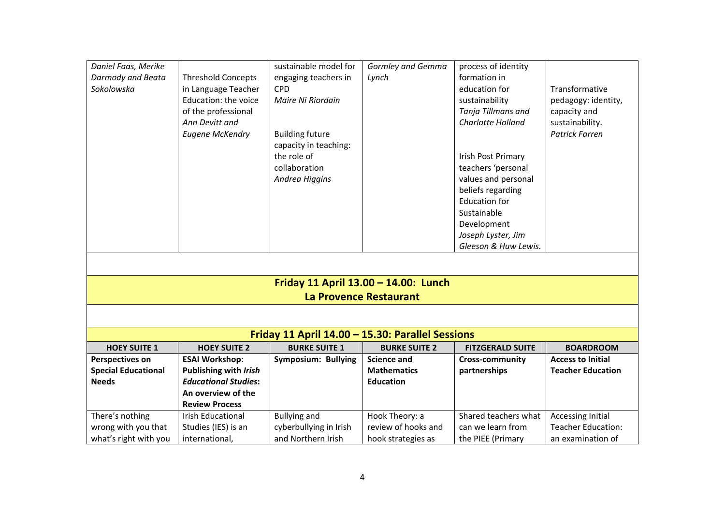| Daniel Faas, Merike<br>Darmody and Beata<br>Sokolowska | <b>Threshold Concepts</b><br>in Language Teacher<br>Education: the voice<br>of the professional | sustainable model for<br>engaging teachers in<br><b>CPD</b><br>Maire Ni Riordain | <b>Gormley and Gemma</b><br>Lynch    | process of identity<br>formation in<br>education for<br>sustainability<br>Tanja Tillmans and | Transformative<br>pedagogy: identity,<br>capacity and |
|--------------------------------------------------------|-------------------------------------------------------------------------------------------------|----------------------------------------------------------------------------------|--------------------------------------|----------------------------------------------------------------------------------------------|-------------------------------------------------------|
|                                                        | Ann Devitt and<br><b>Eugene McKendry</b>                                                        | <b>Building future</b>                                                           |                                      | Charlotte Holland                                                                            | sustainability.<br><b>Patrick Farren</b>              |
|                                                        |                                                                                                 | capacity in teaching:                                                            |                                      |                                                                                              |                                                       |
|                                                        |                                                                                                 | the role of                                                                      |                                      | Irish Post Primary                                                                           |                                                       |
|                                                        |                                                                                                 | collaboration                                                                    |                                      | teachers 'personal                                                                           |                                                       |
|                                                        |                                                                                                 | Andrea Higgins                                                                   |                                      | values and personal<br>beliefs regarding                                                     |                                                       |
|                                                        |                                                                                                 |                                                                                  |                                      | <b>Education for</b>                                                                         |                                                       |
|                                                        |                                                                                                 |                                                                                  |                                      | Sustainable                                                                                  |                                                       |
|                                                        |                                                                                                 |                                                                                  |                                      | Development                                                                                  |                                                       |
|                                                        |                                                                                                 |                                                                                  |                                      | Joseph Lyster, Jim                                                                           |                                                       |
|                                                        |                                                                                                 |                                                                                  |                                      | Gleeson & Huw Lewis.                                                                         |                                                       |
|                                                        |                                                                                                 |                                                                                  |                                      |                                                                                              |                                                       |
|                                                        |                                                                                                 |                                                                                  | Friday 11 April 13.00 - 14.00: Lunch |                                                                                              |                                                       |
|                                                        |                                                                                                 | La Provence Restaurant                                                           |                                      |                                                                                              |                                                       |
|                                                        |                                                                                                 |                                                                                  |                                      |                                                                                              |                                                       |
|                                                        |                                                                                                 | Friday 11 April 14.00 - 15.30: Parallel Sessions                                 |                                      |                                                                                              |                                                       |
| <b>HOEY SUITE 1</b>                                    | <b>HOEY SUITE 2</b>                                                                             | <b>BURKE SUITE 1</b>                                                             | <b>BURKE SUITE 2</b>                 | <b>FITZGERALD SUITE</b>                                                                      | <b>BOARDROOM</b>                                      |
| <b>Perspectives on</b>                                 | <b>ESAI Workshop:</b>                                                                           | Symposium: Bullying                                                              | <b>Science and</b>                   | <b>Cross-community</b>                                                                       | <b>Access to Initial</b>                              |
| <b>Special Educational</b>                             | Publishing with Irish                                                                           |                                                                                  | <b>Mathematics</b>                   | partnerships                                                                                 | <b>Teacher Education</b>                              |
| <b>Needs</b>                                           | <b>Educational Studies:</b>                                                                     |                                                                                  | <b>Education</b>                     |                                                                                              |                                                       |
|                                                        | An overview of the<br><b>Review Process</b>                                                     |                                                                                  |                                      |                                                                                              |                                                       |
| There's nothing                                        | <b>Irish Educational</b>                                                                        | <b>Bullying and</b>                                                              | Hook Theory: a                       | Shared teachers what                                                                         | <b>Accessing Initial</b>                              |
| wrong with you that                                    | Studies (IES) is an                                                                             | cyberbullying in Irish                                                           | review of hooks and                  | can we learn from                                                                            | <b>Teacher Education:</b>                             |
| what's right with you                                  | international,                                                                                  | and Northern Irish                                                               | hook strategies as                   | the PIEE (Primary                                                                            | an examination of                                     |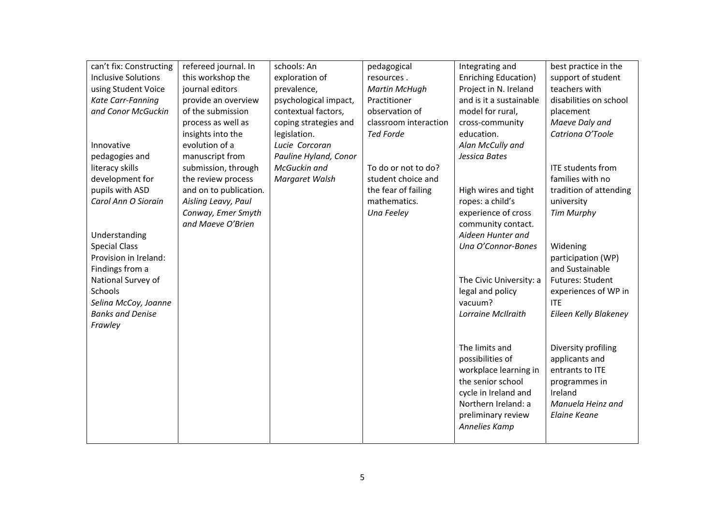| can't fix: Constructing    | refereed journal. In   | schools: An           | pedagogical           | Integrating and             | best practice in the     |
|----------------------------|------------------------|-----------------------|-----------------------|-----------------------------|--------------------------|
| <b>Inclusive Solutions</b> | this workshop the      | exploration of        | resources.            | <b>Enriching Education)</b> | support of student       |
| using Student Voice        | journal editors        | prevalence,           | <b>Martin McHugh</b>  | Project in N. Ireland       | teachers with            |
| Kate Carr-Fanning          | provide an overview    | psychological impact, | Practitioner          | and is it a sustainable     | disabilities on school   |
| and Conor McGuckin         | of the submission      | contextual factors,   | observation of        | model for rural,            | placement                |
|                            | process as well as     | coping strategies and | classroom interaction | cross-community             | Maeve Daly and           |
|                            | insights into the      | legislation.          | <b>Ted Forde</b>      | education.                  | Catriona O'Toole         |
| Innovative                 | evolution of a         | Lucie Corcoran        |                       | Alan McCully and            |                          |
| pedagogies and             | manuscript from        | Pauline Hyland, Conor |                       | Jessica Bates               |                          |
| literacy skills            | submission, through    | McGuckin and          | To do or not to do?   |                             | <b>ITE students from</b> |
| development for            | the review process     | Margaret Walsh        | student choice and    |                             | families with no         |
| pupils with ASD            | and on to publication. |                       | the fear of failing   | High wires and tight        | tradition of attending   |
| Carol Ann O Siorain        | Aisling Leavy, Paul    |                       | mathematics.          | ropes: a child's            | university               |
|                            | Conway, Emer Smyth     |                       | Una Feeley            | experience of cross         | <b>Tim Murphy</b>        |
|                            | and Maeve O'Brien      |                       |                       | community contact.          |                          |
| Understanding              |                        |                       |                       | Aideen Hunter and           |                          |
| <b>Special Class</b>       |                        |                       |                       | Una O'Connor-Bones          | Widening                 |
| Provision in Ireland:      |                        |                       |                       |                             | participation (WP)       |
| Findings from a            |                        |                       |                       |                             | and Sustainable          |
| National Survey of         |                        |                       |                       | The Civic University: a     | Futures: Student         |
| Schools                    |                        |                       |                       | legal and policy            | experiences of WP in     |
| Selina McCoy, Joanne       |                        |                       |                       | vacuum?                     | <b>ITF</b>               |
| <b>Banks and Denise</b>    |                        |                       |                       | Lorraine McIlraith          | Eileen Kelly Blakeney    |
| Frawley                    |                        |                       |                       |                             |                          |
|                            |                        |                       |                       |                             |                          |
|                            |                        |                       |                       | The limits and              | Diversity profiling      |
|                            |                        |                       |                       | possibilities of            | applicants and           |
|                            |                        |                       |                       | workplace learning in       | entrants to ITE          |
|                            |                        |                       |                       | the senior school           | programmes in            |
|                            |                        |                       |                       | cycle in Ireland and        | Ireland                  |
|                            |                        |                       |                       | Northern Ireland: a         | Manuela Heinz and        |
|                            |                        |                       |                       | preliminary review          | Elaine Keane             |
|                            |                        |                       |                       | Annelies Kamp               |                          |
|                            |                        |                       |                       |                             |                          |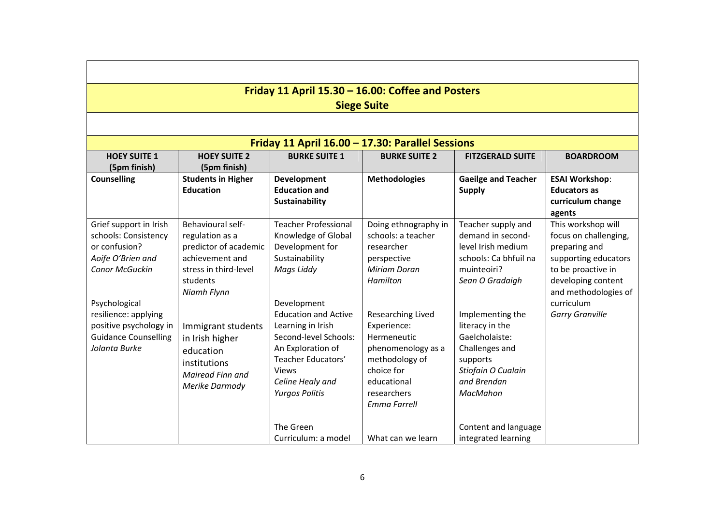| Friday 11 April 15.30 - 16.00: Coffee and Posters |                           |                             |                                                  |                            |                        |  |
|---------------------------------------------------|---------------------------|-----------------------------|--------------------------------------------------|----------------------------|------------------------|--|
|                                                   |                           |                             | <b>Siege Suite</b>                               |                            |                        |  |
|                                                   |                           |                             |                                                  |                            |                        |  |
|                                                   |                           |                             | Friday 11 April 16.00 - 17.30: Parallel Sessions |                            |                        |  |
| <b>HOEY SUITE 1</b>                               | <b>HOEY SUITE 2</b>       | <b>BURKE SUITE 1</b>        | <b>BURKE SUITE 2</b>                             | <b>FITZGERALD SUITE</b>    | <b>BOARDROOM</b>       |  |
| (5pm finish)                                      | (5pm finish)              |                             |                                                  |                            |                        |  |
| <b>Counselling</b>                                | <b>Students in Higher</b> | Development                 | <b>Methodologies</b>                             | <b>Gaeilge and Teacher</b> | <b>ESAI Workshop:</b>  |  |
|                                                   | <b>Education</b>          | <b>Education and</b>        |                                                  | <b>Supply</b>              | <b>Educators as</b>    |  |
|                                                   |                           | Sustainability              |                                                  |                            | curriculum change      |  |
|                                                   |                           |                             |                                                  |                            | agents                 |  |
| Grief support in Irish                            | Behavioural self-         | <b>Teacher Professional</b> | Doing ethnography in                             | Teacher supply and         | This workshop will     |  |
| schools: Consistency                              | regulation as a           | Knowledge of Global         | schools: a teacher                               | demand in second-          | focus on challenging,  |  |
| or confusion?                                     | predictor of academic     | Development for             | researcher                                       | level Irish medium         | preparing and          |  |
| Aoife O'Brien and                                 | achievement and           | Sustainability              | perspective                                      | schools: Ca bhfuil na      | supporting educators   |  |
| Conor McGuckin                                    | stress in third-level     | Mags Liddy                  | <b>Miriam Doran</b>                              | muinteoiri?                | to be proactive in     |  |
|                                                   | students                  |                             | Hamilton                                         | Sean O Gradaigh            | developing content     |  |
|                                                   | Niamh Flynn               |                             |                                                  |                            | and methodologies of   |  |
| Psychological                                     |                           | Development                 |                                                  |                            | curriculum             |  |
| resilience: applying                              |                           | <b>Education and Active</b> | Researching Lived                                | Implementing the           | <b>Garry Granville</b> |  |
| positive psychology in                            | Immigrant students        | Learning in Irish           | Experience:                                      | literacy in the            |                        |  |
| <b>Guidance Counselling</b>                       | in Irish higher           | Second-level Schools:       | Hermeneutic                                      | Gaelcholaiste:             |                        |  |
| Jolanta Burke                                     | education                 | An Exploration of           | phenomenology as a                               | Challenges and             |                        |  |
|                                                   | institutions              | Teacher Educators'          | methodology of                                   | supports                   |                        |  |
|                                                   | Mairead Finn and          | <b>Views</b>                | choice for                                       | Stiofain O Cualain         |                        |  |
|                                                   | Merike Darmody            | Celine Healy and            | educational                                      | and Brendan                |                        |  |
|                                                   |                           | <b>Yurgos Politis</b>       | researchers                                      | MacMahon                   |                        |  |
|                                                   |                           |                             | <b>Emma Farrell</b>                              |                            |                        |  |
|                                                   |                           | The Green                   |                                                  | Content and language       |                        |  |
|                                                   |                           | Curriculum: a model         | What can we learn                                | integrated learning        |                        |  |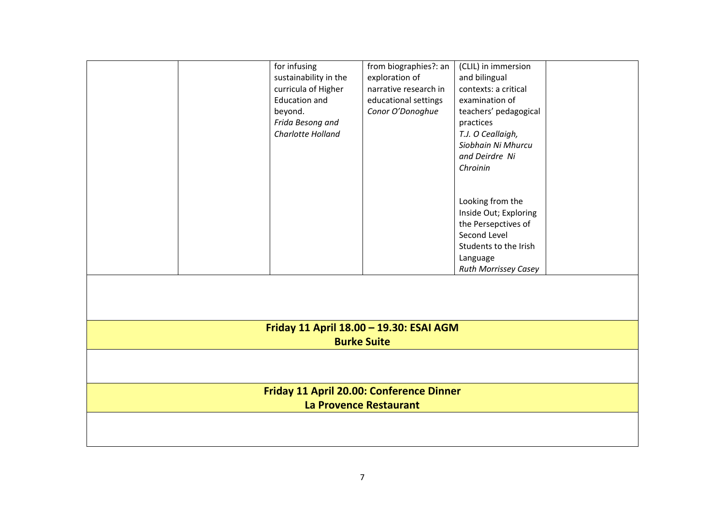|                                          | for infusing                            | from biographies?: an | (CLIL) in immersion         |  |  |  |  |
|------------------------------------------|-----------------------------------------|-----------------------|-----------------------------|--|--|--|--|
|                                          | sustainability in the                   | exploration of        | and bilingual               |  |  |  |  |
|                                          | curricula of Higher                     | narrative research in | contexts: a critical        |  |  |  |  |
|                                          | <b>Education and</b>                    | educational settings  | examination of              |  |  |  |  |
|                                          | beyond.                                 | Conor O'Donoghue      | teachers' pedagogical       |  |  |  |  |
|                                          | Frida Besong and                        |                       | practices                   |  |  |  |  |
|                                          | Charlotte Holland                       |                       | T.J. O Ceallaigh,           |  |  |  |  |
|                                          |                                         |                       | Siobhain Ni Mhurcu          |  |  |  |  |
|                                          |                                         |                       | and Deirdre Ni              |  |  |  |  |
|                                          |                                         |                       | Chroinin                    |  |  |  |  |
|                                          |                                         |                       |                             |  |  |  |  |
|                                          |                                         |                       |                             |  |  |  |  |
|                                          |                                         |                       | Looking from the            |  |  |  |  |
|                                          |                                         |                       | Inside Out; Exploring       |  |  |  |  |
|                                          |                                         |                       | the Persepctives of         |  |  |  |  |
|                                          |                                         |                       | Second Level                |  |  |  |  |
|                                          |                                         |                       | Students to the Irish       |  |  |  |  |
|                                          |                                         |                       | Language                    |  |  |  |  |
|                                          |                                         |                       | <b>Ruth Morrissey Casey</b> |  |  |  |  |
|                                          |                                         |                       |                             |  |  |  |  |
|                                          |                                         |                       |                             |  |  |  |  |
|                                          | Friday 11 April 18.00 - 19.30: ESAI AGM |                       |                             |  |  |  |  |
|                                          | <b>Burke Suite</b>                      |                       |                             |  |  |  |  |
|                                          |                                         |                       |                             |  |  |  |  |
|                                          |                                         |                       |                             |  |  |  |  |
|                                          |                                         |                       |                             |  |  |  |  |
| Friday 11 April 20.00: Conference Dinner |                                         |                       |                             |  |  |  |  |
| La Provence Restaurant                   |                                         |                       |                             |  |  |  |  |
|                                          |                                         |                       |                             |  |  |  |  |
|                                          |                                         |                       |                             |  |  |  |  |
|                                          |                                         |                       |                             |  |  |  |  |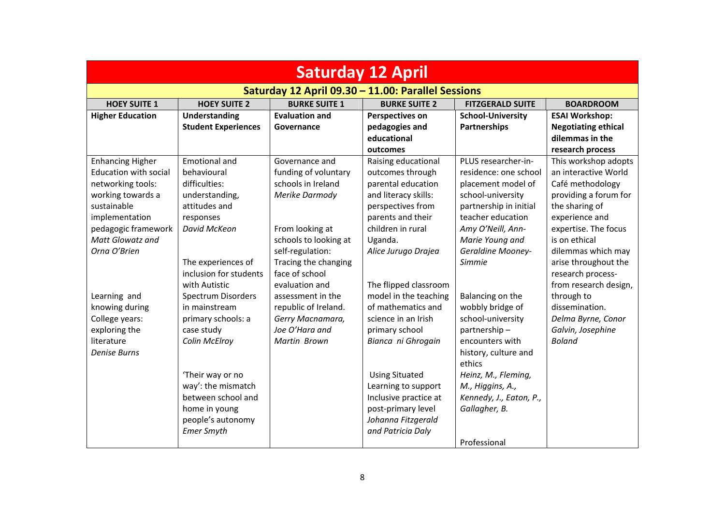| <b>Saturday 12 April</b>     |                                                    |                       |                        |                          |                            |  |  |
|------------------------------|----------------------------------------------------|-----------------------|------------------------|--------------------------|----------------------------|--|--|
|                              | Saturday 12 April 09.30 - 11.00: Parallel Sessions |                       |                        |                          |                            |  |  |
| <b>HOEY SUITE 1</b>          | <b>HOEY SUITE 2</b>                                | <b>BURKE SUITE 1</b>  | <b>BURKE SUITE 2</b>   | <b>FITZGERALD SUITE</b>  | <b>BOARDROOM</b>           |  |  |
| <b>Higher Education</b>      | <b>Understanding</b>                               | <b>Evaluation and</b> | <b>Perspectives on</b> | <b>School-University</b> | <b>ESAI Workshop:</b>      |  |  |
|                              | <b>Student Experiences</b>                         | Governance            | pedagogies and         | Partnerships             | <b>Negotiating ethical</b> |  |  |
|                              |                                                    |                       | educational            |                          | dilemmas in the            |  |  |
|                              |                                                    |                       | outcomes               |                          | research process           |  |  |
| <b>Enhancing Higher</b>      | <b>Emotional and</b>                               | Governance and        | Raising educational    | PLUS researcher-in-      | This workshop adopts       |  |  |
| <b>Education with social</b> | behavioural                                        | funding of voluntary  | outcomes through       | residence: one school    | an interactive World       |  |  |
| networking tools:            | difficulties:                                      | schools in Ireland    | parental education     | placement model of       | Café methodology           |  |  |
| working towards a            | understanding,                                     | Merike Darmody        | and literacy skills:   | school-university        | providing a forum for      |  |  |
| sustainable                  | attitudes and                                      |                       | perspectives from      | partnership in initial   | the sharing of             |  |  |
| implementation               | responses                                          |                       | parents and their      | teacher education        | experience and             |  |  |
| pedagogic framework          | David McKeon                                       | From looking at       | children in rural      | Amy O'Neill, Ann-        | expertise. The focus       |  |  |
| <b>Matt Glowatz and</b>      |                                                    | schools to looking at | Uganda.                | Marie Young and          | is on ethical              |  |  |
| Orna O'Brien                 |                                                    | self-regulation:      | Alice Jurugo Drajea    | <b>Geraldine Mooney-</b> | dilemmas which may         |  |  |
|                              | The experiences of                                 | Tracing the changing  |                        | Simmie                   | arise throughout the       |  |  |
|                              | inclusion for students                             | face of school        |                        |                          | research process-          |  |  |
|                              | with Autistic                                      | evaluation and        | The flipped classroom  |                          | from research design,      |  |  |
| Learning and                 | Spectrum Disorders                                 | assessment in the     | model in the teaching  | Balancing on the         | through to                 |  |  |
| knowing during               | in mainstream                                      | republic of Ireland.  | of mathematics and     | wobbly bridge of         | dissemination.             |  |  |
| College years:               | primary schools: a                                 | Gerry Macnamara,      | science in an Irish    | school-university        | Delma Byrne, Conor         |  |  |
| exploring the                | case study                                         | Joe O'Hara and        | primary school         | partnership-             | Galvin, Josephine          |  |  |
| literature                   | Colin McElroy                                      | Martin Brown          | Bianca ni Ghrogain     | encounters with          | <b>Boland</b>              |  |  |
| <b>Denise Burns</b>          |                                                    |                       |                        | history, culture and     |                            |  |  |
|                              |                                                    |                       |                        | ethics                   |                            |  |  |
|                              | 'Their way or no                                   |                       | <b>Using Situated</b>  | Heinz, M., Fleming,      |                            |  |  |
|                              | way': the mismatch                                 |                       | Learning to support    | M., Higgins, A.,         |                            |  |  |
|                              | between school and                                 |                       | Inclusive practice at  | Kennedy, J., Eaton, P.,  |                            |  |  |
|                              | home in young                                      |                       | post-primary level     | Gallagher, B.            |                            |  |  |
|                              | people's autonomy                                  |                       | Johanna Fitzgerald     |                          |                            |  |  |
|                              | <b>Emer Smyth</b>                                  |                       | and Patricia Daly      |                          |                            |  |  |
|                              |                                                    |                       |                        | Professional             |                            |  |  |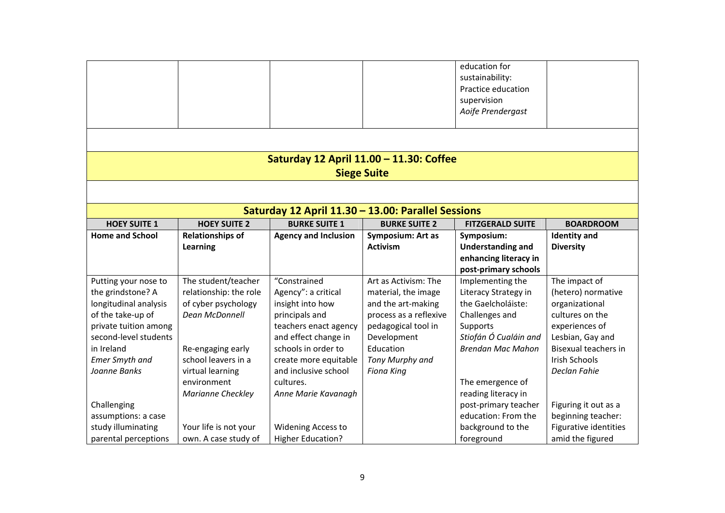|                        |                                                    |                                         |                          | education for<br>sustainability:<br>Practice education<br>supervision |                             |  |
|------------------------|----------------------------------------------------|-----------------------------------------|--------------------------|-----------------------------------------------------------------------|-----------------------------|--|
|                        |                                                    |                                         |                          | Aoife Prendergast                                                     |                             |  |
|                        |                                                    |                                         |                          |                                                                       |                             |  |
|                        |                                                    | Saturday 12 April 11.00 - 11.30: Coffee |                          |                                                                       |                             |  |
|                        |                                                    |                                         | <b>Siege Suite</b>       |                                                                       |                             |  |
|                        |                                                    |                                         |                          |                                                                       |                             |  |
|                        | Saturday 12 April 11.30 - 13.00: Parallel Sessions |                                         |                          |                                                                       |                             |  |
| <b>HOEY SUITE 1</b>    | <b>HOEY SUITE 2</b>                                | <b>BURKE SUITE 1</b>                    | <b>BURKE SUITE 2</b>     | <b>FITZGERALD SUITE</b>                                               | <b>BOARDROOM</b>            |  |
| <b>Home and School</b> | <b>Relationships of</b>                            | <b>Agency and Inclusion</b>             | <b>Symposium: Art as</b> | Symposium:                                                            | <b>Identity</b> and         |  |
|                        | Learning                                           |                                         | <b>Activism</b>          | <b>Understanding and</b>                                              | <b>Diversity</b>            |  |
|                        |                                                    |                                         |                          | enhancing literacy in<br>post-primary schools                         |                             |  |
| Putting your nose to   | The student/teacher                                | "Constrained                            | Art as Activism: The     | Implementing the                                                      | The impact of               |  |
| the grindstone? A      | relationship: the role                             | Agency": a critical                     | material, the image      | Literacy Strategy in                                                  | (hetero) normative          |  |
| longitudinal analysis  | of cyber psychology                                | insight into how                        | and the art-making       | the Gaelcholáiste:                                                    | organizational              |  |
| of the take-up of      | <b>Dean McDonnell</b>                              | principals and                          | process as a reflexive   | Challenges and                                                        | cultures on the             |  |
| private tuition among  |                                                    | teachers enact agency                   | pedagogical tool in      | Supports                                                              | experiences of              |  |
| second-level students  |                                                    | and effect change in                    | Development              | Stiofán Ó Cualáin and                                                 | Lesbian, Gay and            |  |
| in Ireland             | Re-engaging early                                  | schools in order to                     | Education                | <b>Brendan Mac Mahon</b>                                              | <b>Bisexual teachers in</b> |  |
| <b>Emer Smyth and</b>  | school leavers in a                                | create more equitable                   | Tony Murphy and          |                                                                       | <b>Irish Schools</b>        |  |
| Joanne Banks           | virtual learning                                   | and inclusive school                    | <b>Fiona King</b>        |                                                                       | Declan Fahie                |  |
|                        | environment                                        | cultures.                               |                          | The emergence of                                                      |                             |  |
|                        | Marianne Checkley                                  | Anne Marie Kavanagh                     |                          | reading literacy in                                                   |                             |  |
| Challenging            |                                                    |                                         |                          | post-primary teacher                                                  | Figuring it out as a        |  |
| assumptions: a case    |                                                    |                                         |                          | education: From the                                                   | beginning teacher:          |  |
| study illuminating     | Your life is not your                              | Widening Access to                      |                          | background to the                                                     | Figurative identities       |  |
| parental perceptions   | own. A case study of                               | <b>Higher Education?</b>                |                          | foreground                                                            | amid the figured            |  |